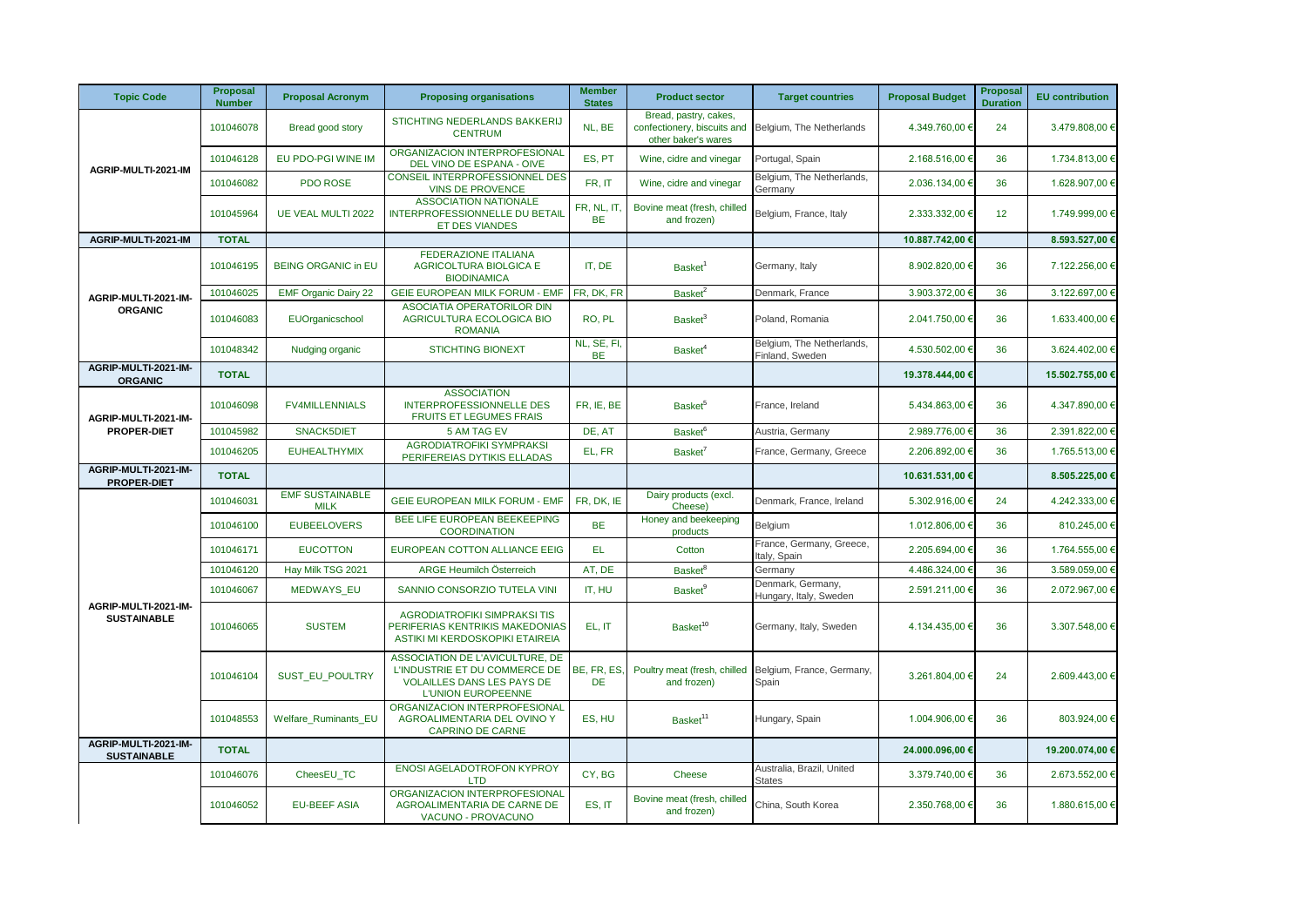| <b>Topic Code</b>                          | <b>Proposal</b><br><b>Number</b> | <b>Proposal Acronym</b>               | <b>Proposing organisations</b>                                                                                       | <b>Member</b><br><b>States</b> | <b>Product sector</b>                                                       | <b>Target countries</b>                      | <b>Proposal Budget</b> | <b>Proposal</b><br><b>Duration</b> | <b>EU</b> contribution |
|--------------------------------------------|----------------------------------|---------------------------------------|----------------------------------------------------------------------------------------------------------------------|--------------------------------|-----------------------------------------------------------------------------|----------------------------------------------|------------------------|------------------------------------|------------------------|
| AGRIP-MULTI-2021-IM                        | 101046078                        | Bread good story                      | STICHTING NEDERLANDS BAKKERIJ<br><b>CENTRUM</b>                                                                      | NL, BE                         | Bread, pastry, cakes,<br>confectionery, biscuits and<br>other baker's wares | Belgium, The Netherlands                     | 4.349.760,00 €         | 24                                 | 3.479.808,00 €         |
|                                            | 101046128                        | EU PDO-PGI WINE IM                    | ORGANIZACION INTERPROFESIONAL<br>DEL VINO DE ESPANA - OIVE                                                           | ES. PT                         | Wine, cidre and vinegar                                                     | Portugal, Spain                              | 2.168.516,00 €         | 36                                 | 1.734.813,00 €         |
|                                            | 101046082                        | PDO ROSE                              | CONSEIL INTERPROFESSIONNEL DES<br><b>VINS DE PROVENCE</b>                                                            | FR, IT                         | Wine, cidre and vinegar                                                     | Belgium, The Netherlands,<br>Germany         | 2.036.134,00 €         | 36                                 | 1.628.907,00 €         |
|                                            | 101045964                        | UE VEAL MULTI 2022                    | <b>ASSOCIATION NATIONALE</b><br><b>INTERPROFESSIONNELLE DU BETAIL</b><br><b>ET DES VIANDES</b>                       | FR, NL, IT.<br><b>BE</b>       | Bovine meat (fresh, chilled<br>and frozen)                                  | Belgium, France, Italy                       | 2.333.332,00 €         | 12                                 | 1.749.999,00 €         |
| AGRIP-MULTI-2021-IM                        | <b>TOTAL</b>                     |                                       |                                                                                                                      |                                |                                                                             |                                              | 10.887.742,00 €        |                                    | 8.593.527,00 €         |
|                                            | 101046195                        | <b>BEING ORGANIC in EU</b>            | <b>FEDERAZIONE ITALIANA</b><br><b>AGRICOLTURA BIOLGICA E</b><br><b>BIODINAMICA</b>                                   | IT. DE                         | Basket <sup>1</sup>                                                         | Germany, Italy                               | 8.902.820,00 €         | 36                                 | 7.122.256,00 €         |
| AGRIP-MULTI-2021-IM-                       | 101046025                        | <b>EMF Organic Dairy 22</b>           | <b>GEIE EUROPEAN MILK FORUM - EMF</b>                                                                                | FR, DK, FR                     | Basket <sup>2</sup>                                                         | Denmark, France                              | 3.903.372,00 €         | 36                                 | 3.122.697,00 €         |
| <b>ORGANIC</b>                             | 101046083                        | EUOrganicschool                       | ASOCIATIA OPERATORILOR DIN<br>AGRICULTURA ECOLOGICA BIO<br><b>ROMANIA</b>                                            | RO, PL                         | Basket <sup>3</sup>                                                         | Poland, Romania                              | 2.041.750,00 €         | 36                                 | 1.633.400,00 €         |
|                                            | 101048342                        | Nudging organic                       | <b>STICHTING BIONEXT</b>                                                                                             | NL, SE, FI,<br>BE              | Basket <sup>4</sup>                                                         | Belgium, The Netherlands,<br>Finland, Sweden | 4.530.502,00 €         | 36                                 | 3.624.402,00 €         |
| AGRIP-MULTI-2021-IM-<br><b>ORGANIC</b>     | <b>TOTAL</b>                     |                                       |                                                                                                                      |                                |                                                                             |                                              | 19.378.444,00 €        |                                    | 15.502.755,00 €        |
| AGRIP-MULTI-2021-IM-<br><b>PROPER-DIET</b> | 101046098                        | <b>FV4MILLENNIALS</b>                 | <b>ASSOCIATION</b><br><b>INTERPROFESSIONNELLE DES</b><br><b>FRUITS ET LEGUMES FRAIS</b>                              | FR, IE, BE                     | Basket <sup>5</sup>                                                         | France, Ireland                              | 5.434.863,00 €         | 36                                 | 4.347.890,00 €         |
|                                            | 101045982                        | SNACK5DIET                            | 5 AM TAG EV                                                                                                          | DE, AT                         | <b>Basket</b>                                                               | Austria, Germany                             | 2.989.776,00 €         | 36                                 | 2.391.822,00 €         |
|                                            | 101046205                        | <b>EUHEALTHYMIX</b>                   | <b>AGRODIATROFIKI SYMPRAKSI</b><br>PERIFEREIAS DYTIKIS ELLADAS                                                       | EL, FR                         | Basket <sup>7</sup>                                                         | France, Germany, Greece                      | 2.206.892,00 €         | 36                                 | 1.765.513,00 €         |
| AGRIP-MULTI-2021-IM-<br><b>PROPER-DIET</b> | <b>TOTAL</b>                     |                                       |                                                                                                                      |                                |                                                                             |                                              | 10.631.531,00 €        |                                    | 8.505.225,00 €         |
| AGRIP-MULTI-2021-IM-<br><b>SUSTAINABLE</b> | 101046031                        | <b>EMF SUSTAINABLE</b><br><b>MILK</b> | <b>GEIE EUROPEAN MILK FORUM - EMF</b>                                                                                | FR, DK, IE                     | Dairy products (excl.<br>Cheese)                                            | Denmark, France, Ireland                     | 5.302.916,00 €         | 24                                 | 4.242.333,00 €         |
|                                            | 101046100                        | <b>EUBEELOVERS</b>                    | BEE LIFE EUROPEAN BEEKEEPING<br><b>COORDINATION</b>                                                                  | <b>BE</b>                      | Honey and beekeeping<br>products                                            | Belgium                                      | 1.012.806.00 €         | 36                                 | 810.245,00€            |
|                                            | 101046171                        | <b>EUCOTTON</b>                       | EUROPEAN COTTON ALLIANCE EEIG                                                                                        | EL                             | Cotton                                                                      | France, Germany, Greece,<br>Italy, Spain     | 2.205.694,00 €         | 36                                 | 1.764.555,00 €         |
|                                            | 101046120                        | Hay Milk TSG 2021                     | <b>ARGE Heumilch Österreich</b>                                                                                      | AT. DE                         | <b>Basket</b> <sup>8</sup>                                                  | Germany                                      | 4.486.324,00 €         | 36                                 | 3.589.059,00 €         |
|                                            | 101046067                        | <b>MEDWAYS EU</b>                     | SANNIO CONSORZIO TUTELA VINI                                                                                         | IT. HU                         | <b>Basket</b> <sup>9</sup>                                                  | Denmark, Germany,<br>Hungary, Italy, Sweden  | 2.591.211,00 €         | 36                                 | 2.072.967,00 €         |
|                                            | 101046065                        | <b>SUSTEM</b>                         | <b>AGRODIATROFIKI SIMPRAKSI TIS</b><br>PERIFERIAS KENTRIKIS MAKEDONIAS<br>ASTIKI MI KERDOSKOPIKI ETAIREIA            | EL. IT                         | Basket <sup>10</sup>                                                        | Germany, Italy, Sweden                       | 4.134.435,00 €         | 36                                 | 3.307.548,00 €         |
|                                            | 101046104                        | <b>SUST EU POULTRY</b>                | ASSOCIATION DE L'AVICULTURE, DE<br>L'INDUSTRIE ET DU COMMERCE DE<br>VOLAILLES DANS LES PAYS DE<br>L'UNION EUROPEENNE | BE, FR, ES,<br><b>DE</b>       | Poultry meat (fresh, chilled<br>and frozen)                                 | Belgium, France, Germany,<br>Spain           | 3.261.804,00 €         | 24                                 | 2.609.443,00 €         |
|                                            | 101048553                        | Welfare Ruminants EU                  | ORGANIZACION INTERPROFESIONAL<br>AGROALIMENTARIA DEL OVINO Y<br><b>CAPRINO DE CARNE</b>                              | ES, HU                         | Basket <sup>11</sup>                                                        | Hungary, Spain                               | 1.004.906,00 €         | 36                                 | 803.924,00 €           |
| AGRIP-MULTI-2021-IM-<br><b>SUSTAINABLE</b> | <b>TOTAL</b>                     |                                       |                                                                                                                      |                                |                                                                             |                                              | 24.000.096,00 €        |                                    | 19.200.074,00 €        |
|                                            | 101046076                        | CheesEU_TC                            | <b>ENOSI AGELADOTROFON KYPROY</b><br><b>LTD</b>                                                                      | CY, BG                         | Cheese                                                                      | Australia, Brazil, United<br><b>States</b>   | 3.379.740,00 €         | 36                                 | 2.673.552,00 €         |
|                                            | 101046052                        | <b>EU-BEEF ASIA</b>                   | ORGANIZACION INTERPROFESIONAL<br>AGROALIMENTARIA DE CARNE DE<br>VACUNO - PROVACUNO                                   | ES, IT                         | Bovine meat (fresh, chilled<br>and frozen)                                  | China, South Korea                           | 2.350.768,00 €         | 36                                 | 1.880.615,00 €         |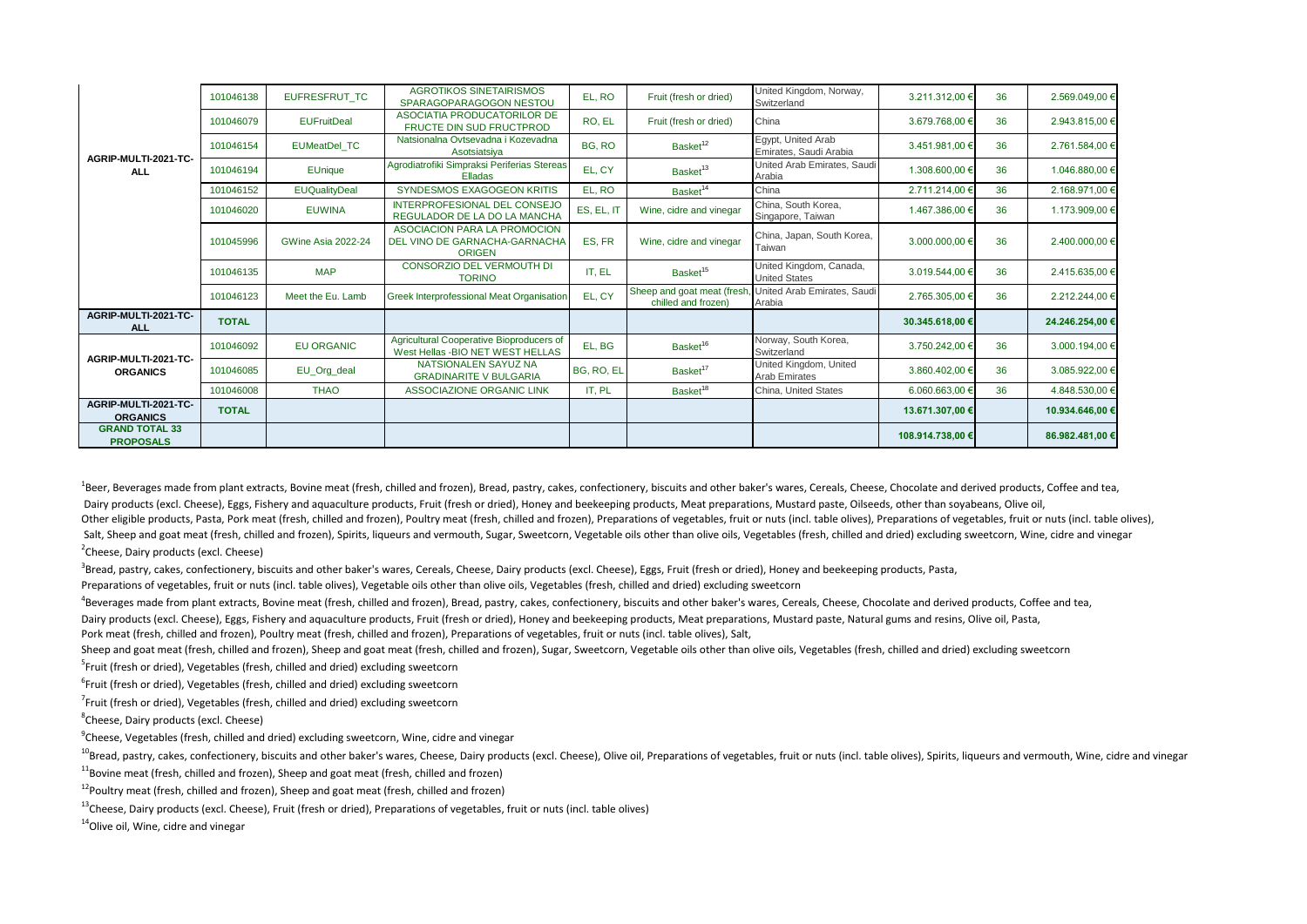|                                           | 101046138    | <b>EUFRESFRUT TC</b>      | <b>AGROTIKOS SINETAIRISMOS</b><br>SPARAGOPARAGOGON NESTOU                      | EL, RO     | Fruit (fresh or dried)                            | United Kingdom, Norway,<br>Switzerland          | 3.211.312,00 €   | 36 | 2.569.049,00 €  |
|-------------------------------------------|--------------|---------------------------|--------------------------------------------------------------------------------|------------|---------------------------------------------------|-------------------------------------------------|------------------|----|-----------------|
| AGRIP-MULTI-2021-TC-<br><b>ALL</b>        | 101046079    | <b>EUFruitDeal</b>        | ASOCIATIA PRODUCATORILOR DE<br><b>FRUCTE DIN SUD FRUCTPROD</b>                 | RO, EL     | Fruit (fresh or dried)                            | China                                           | 3.679.768,00 €   | 36 | 2.943.815,00 €  |
|                                           | 101046154    | <b>EUMeatDel TC</b>       | Natsionalna Ovtsevadna i Kozevadna<br>Asotsiatsiya                             | BG, RO     | Basket <sup>12</sup>                              | Egypt, United Arab<br>Emirates, Saudi Arabia    | 3.451.981,00 €   | 36 | 2.761.584,00 €  |
|                                           | 101046194    | <b>EUnique</b>            | Agrodiatrofiki Simpraksi Periferias Stereas<br>Elladas                         | EL, CY     | Basket <sup>13</sup>                              | United Arab Emirates, Saudi<br>Arabia           | 1.308.600,00 €   | 36 | 1.046.880,00 €  |
|                                           | 101046152    | <b>EUQualityDeal</b>      | SYNDESMOS EXAGOGEON KRITIS                                                     | EL. RO     | Basket <sup>14</sup>                              | China                                           | 2.711.214,00 €   | 36 | 2.168.971,00 €  |
|                                           | 101046020    | <b>EUWINA</b>             | INTERPROFESIONAL DEL CONSEJO<br>REGULADOR DE LA DO LA MANCHA                   | ES, EL, IT | Wine, cidre and vinegar                           | China, South Korea,<br>Singapore, Taiwan        | 1.467.386,00 €   | 36 | 1.173.909,00 €  |
|                                           | 101045996    | <b>GWine Asia 2022-24</b> | ASOCIACION PARA LA PROMOCION<br>DEL VINO DE GARNACHA-GARNACHA<br><b>ORIGEN</b> | ES. FR     | Wine, cidre and vinegar                           | China, Japan, South Korea,<br>Taiwan            | 3.000.000,00 €   | 36 | 2.400.000,00 €  |
|                                           | 101046135    | <b>MAP</b>                | CONSORZIO DEL VERMOUTH DI<br><b>TORINO</b>                                     | IT, EL     | Basket <sup>15</sup>                              | United Kingdom, Canada,<br><b>United States</b> | 3.019.544.00 €   | 36 | 2.415.635,00 €  |
|                                           | 101046123    | Meet the Eu. Lamb         | Greek Interprofessional Meat Organisation                                      | EL, CY     | Sheep and goat meat (fresh<br>chilled and frozen) | United Arab Emirates, Saudi<br>Arabia           | 2.765.305,00 €   | 36 | 2.212.244,00 €  |
| AGRIP-MULTI-2021-TC-<br><b>ALL</b>        | <b>TOTAL</b> |                           |                                                                                |            |                                                   |                                                 | 30.345.618,00 €  |    | 24.246.254,00 € |
|                                           | 101046092    | <b>EU ORGANIC</b>         | Agricultural Cooperative Bioproducers of<br>West Hellas - BIO NET WEST HELLAS  | EL, BG     | Basket <sup>16</sup>                              | Norway, South Korea,<br>Switzerland             | 3.750.242,00 €   | 36 | 3.000.194,00 €  |
| AGRIP-MULTI-2021-TC-<br><b>ORGANICS</b>   | 101046085    | EU_Org_deal               | NATSIONALEN SAYUZ NA<br><b>GRADINARITE V BULGARIA</b>                          | BG, RO, EL | Basket <sup>17</sup>                              | United Kingdom, United<br><b>Arab Emirates</b>  | 3.860.402,00 €   | 36 | 3.085.922,00 €  |
|                                           | 101046008    | <b>THAO</b>               | <b>ASSOCIAZIONE ORGANIC LINK</b>                                               | IT, PL     | Basket <sup>18</sup>                              | China. United States                            | 6.060.663,00 €   | 36 | 4.848.530,00 €  |
| AGRIP-MULTI-2021-TC-<br><b>ORGANICS</b>   | <b>TOTAL</b> |                           |                                                                                |            |                                                   |                                                 | 13.671.307,00 €  |    | 10.934.646,00 € |
| <b>GRAND TOTAL 33</b><br><b>PROPOSALS</b> |              |                           |                                                                                |            |                                                   |                                                 | 108.914.738,00 € |    | 86.982.481,00 € |

<sup>1</sup>Beer, Beverages made from plant extracts, Bovine meat (fresh, chilled and frozen), Bread, pastry, cakes, confectionery, biscuits and other baker's wares, Cereals, Cheese, Chocolate and derived products, Coffee and tea, Dairy products (excl. Cheese), Eggs, Fishery and aquaculture products, Fruit (fresh or dried), Honey and beekeeping products, Meat preparations, Mustard paste, Oilseeds, other than soyabeans, Olive oil, Other eligible products, Pasta, Pork meat (fresh, chilled and frozen), Poultry meat (fresh, chilled and frozen), Preparations of vegetables, fruit or nuts (incl. table olives), Preparations of vegetables, fruit or nuts (in Salt, Sheep and goat meat (fresh, chilled and frozen), Spirits, liqueurs and vermouth, Sugar, Sweetcorn, Vegetable oils other than olive oils, Vegetables (fresh, chilled and dried) excluding sweetcorn, Wine, cidre and vine <sup>2</sup>Cheese, Dairy products (excl. Cheese)

 ${}^{3}$ Bread, pastry, cakes, confectionery, biscuits and other baker's wares, Cereals, Cheese, Dairy products (excl. Cheese), Eggs, Fruit (fresh or dried), Honey and beekeeping products, Pasta,

Preparations of vegetables, fruit or nuts (incl. table olives), Vegetable oils other than olive oils, Vegetables (fresh, chilled and dried) excluding sweetcorn

<sup>4</sup>Beverages made from plant extracts, Bovine meat (fresh, chilled and frozen), Bread, pastry, cakes, confectionery, biscuits and other baker's wares, Cereals, Cheese, Chocolate and derived products, Coffee and tea, Dairy products (excl. Cheese), Eggs, Fishery and aquaculture products, Fruit (fresh or dried), Honey and beekeeping products, Meat preparations, Mustard paste, Natural gums and resins, Olive oil, Pasta,

Pork meat (fresh, chilled and frozen), Poultry meat (fresh, chilled and frozen), Preparations of vegetables, fruit or nuts (incl. table olives), Salt,

Sheep and goat meat (fresh, chilled and frozen), Sheep and goat meat (fresh, chilled and frozen), Sugar, Sweetcorn, Vegetable oils other than olive oils, Vegetables (fresh, chilled and dried) excluding sweetcorn

5 Fruit (fresh or dried), Vegetables (fresh, chilled and dried) excluding sweetcorn

<sup>6</sup>Fruit (fresh or dried), Vegetables (fresh, chilled and dried) excluding sweetcorn

 $^{7}$ Fruit (fresh or dried), Vegetables (fresh, chilled and dried) excluding sweetcorn

8 Cheese, Dairy products (excl. Cheese)

 $^9$ Cheese, Vegetables (fresh, chilled and dried) excluding sweetcorn, Wine, cidre and vinegar

<sup>10</sup>Bread, pastry, cakes, confectionery, biscuits and other baker's wares, Cheese, Dairy products (excl. Cheese), Olive oil, Preparations of vegetables, fruit or nuts (incl. table olives), Spirits, liqueurs and vermouth, W

 $11$ Bovine meat (fresh, chilled and frozen), Sheep and goat meat (fresh, chilled and frozen)

 $12$ Poultrv meat (fresh, chilled and frozen), Sheep and goat meat (fresh, chilled and frozen)

<sup>13</sup>Cheese, Dairy products (excl. Cheese), Fruit (fresh or dried), Preparations of vegetables, fruit or nuts (incl. table olives)

<sup>14</sup>Olive oil, Wine, cidre and vinegar